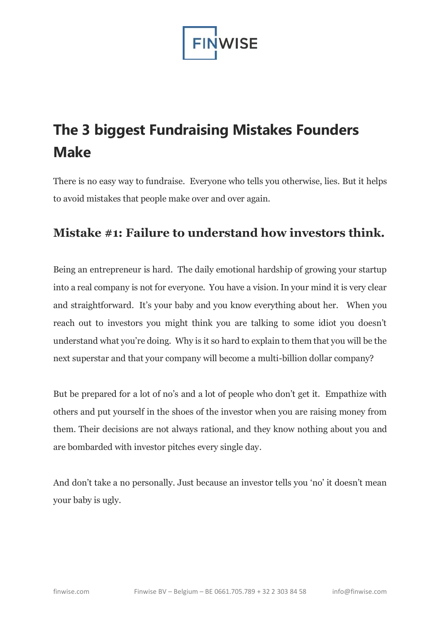

## **The 3 biggest Fundraising Mistakes Founders Make**

There is no easy way to fundraise. Everyone who tells you otherwise, lies. But it helps to avoid mistakes that people make over and over again.

## **Mistake #1: Failure to understand how investors think.**

Being an entrepreneur is hard. The daily emotional hardship of growing your startup into a real company is not for everyone. You have a vision. In your mind it is very clear and straightforward. It's your baby and you know everything about her. When you reach out to investors you might think you are talking to some idiot you doesn't understand what you're doing. Why is it so hard to explain to them that you will be the next superstar and that your company will become a multi-billion dollar company?

But be prepared for a lot of no's and a lot of people who don't get it. Empathize with others and put yourself in the shoes of the investor when you are raising money from them. Their decisions are not always rational, and they know nothing about you and are bombarded with investor pitches every single day.

And don't take a no personally. Just because an investor tells you 'no' it doesn't mean your baby is ugly.